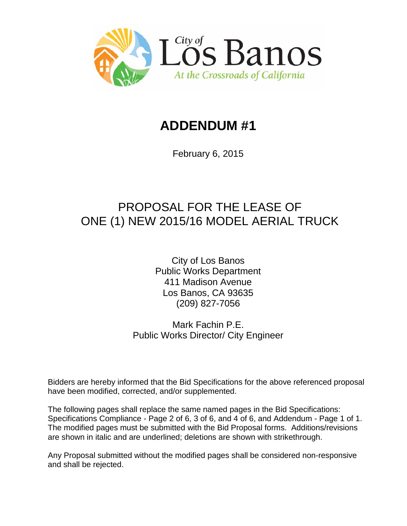

# **ADDENDUM #1**

February 6, 2015

# PROPOSAL FOR THE LEASE OF ONE (1) NEW 2015/16 MODEL AERIAL TRUCK

City of Los Banos Public Works Department 411 Madison Avenue Los Banos, CA 93635 (209) 827-7056

Mark Fachin P.E. Public Works Director/ City Engineer

Bidders are hereby informed that the Bid Specifications for the above referenced proposal have been modified, corrected, and/or supplemented.

The following pages shall replace the same named pages in the Bid Specifications: Specifications Compliance - Page 2 of 6, 3 of 6, and 4 of 6, and Addendum - Page 1 of 1. The modified pages must be submitted with the Bid Proposal forms. Additions/revisions are shown in italic and are underlined; deletions are shown with strikethrough.

Any Proposal submitted without the modified pages shall be considered non-responsive and shall be rejected.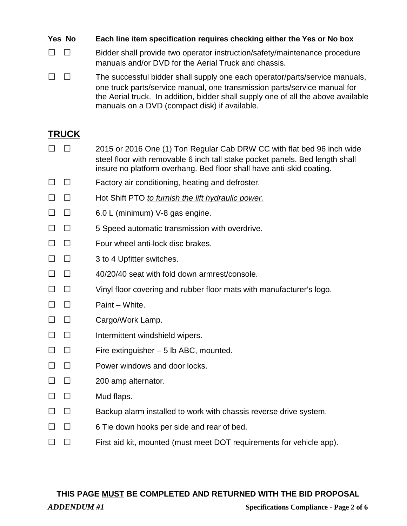**Yes No Each line item specification requires checking either the Yes or No box**

□ □ Bidder shall provide two operator instruction/safety/maintenance procedure manuals and/or DVD for the Aerial Truck and chassis.

 $\Box$   $\Box$  The successful bidder shall supply one each operator/parts/service manuals, one truck parts/service manual, one transmission parts/service manual for the Aerial truck. In addition, bidder shall supply one of all the above available manuals on a DVD (compact disk) if available.

### **TRUCK**

- □ □ 2015 or 2016 One (1) Ton Regular Cab DRW CC with flat bed 96 inch wide steel floor with removable 6 inch tall stake pocket panels. Bed length shall insure no platform overhang. Bed floor shall have anti-skid coating.
- $\Box$   $\Box$  Factory air conditioning, heating and defroster.
- □ □ Hot Shift PTO *to furnish the lift hydraulic power.*
- $\Box$   $\Box$  6.0 L (minimum) V-8 gas engine.
- $\Box$   $\Box$  5 Speed automatic transmission with overdrive.
- □ □ Four wheel anti-lock disc brakes.
- $\Box$   $\Box$  3 to 4 Upfitter switches.
- $\square$   $\square$  40/20/40 seat with fold down armrest/console.
- $\Box$   $\Box$  Vinyl floor covering and rubber floor mats with manufacturer's logo.
- $\Box$   $\Box$  Paint White.
- □ □ Cargo/Work Lamp.
- $\square$   $\square$  Intermittent windshield wipers.
- $\Box$   $\Box$  Fire extinguisher 5 lb ABC, mounted.
- $\Box$   $\Box$  Power windows and door locks.
- $\Box$   $\Box$  200 amp alternator.
- $\Box$   $\Box$  Mud flaps.
- $\Box$   $\Box$  Backup alarm installed to work with chassis reverse drive system.
- $\Box$   $\Box$  6 Tie down hooks per side and rear of bed.
- $\Box$   $\Box$  First aid kit, mounted (must meet DOT requirements for vehicle app).

#### **THIS PAGE MUST BE COMPLETED AND RETURNED WITH THE BID PROPOSAL**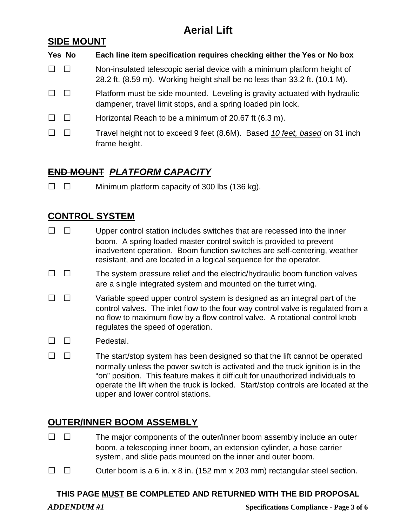## **Aerial Lift**

#### **SIDE MOUNT**

## **Yes No Each line item specification requires checking either the Yes or No box**  $\Box$   $\Box$  Non-insulated telescopic aerial device with a minimum platform height of 28.2 ft. (8.59 m). Working height shall be no less than 33.2 ft. (10.1 M).  $\Box$   $\Box$  Platform must be side mounted. Leveling is gravity actuated with hydraulic dampener, travel limit stops, and a spring loaded pin lock.  $\Box$   $\Box$  Horizontal Reach to be a minimum of 20.67 ft (6.3 m). □ □ Travel height not to exceed 9 feet (8.6M). Based *10 feet, based* on 31 inch frame height.

### **END MOUNT** *PLATFORM CAPACITY*

 $\Box$   $\Box$  Minimum platform capacity of 300 lbs (136 kg).

### **CONTROL SYSTEM**

- $\Box$   $\Box$  Upper control station includes switches that are recessed into the inner boom. A spring loaded master control switch is provided to prevent inadvertent operation. Boom function switches are self-centering, weather resistant, and are located in a logical sequence for the operator.
- $\Box$   $\Box$  The system pressure relief and the electric/hydraulic boom function valves are a single integrated system and mounted on the turret wing.
- $\Box$   $\Box$  Variable speed upper control system is designed as an integral part of the control valves. The inlet flow to the four way control valve is regulated from a no flow to maximum flow by a flow control valve. A rotational control knob regulates the speed of operation.
- $\Box$   $\Box$  Pedestal.
- $\Box$   $\Box$  The start/stop system has been designed so that the lift cannot be operated normally unless the power switch is activated and the truck ignition is in the "on" position. This feature makes it difficult for unauthorized individuals to operate the lift when the truck is locked. Start/stop controls are located at the upper and lower control stations.

### **OUTER/INNER BOOM ASSEMBLY**

- $\Box$   $\Box$  The major components of the outer/inner boom assembly include an outer boom, a telescoping inner boom, an extension cylinder, a hose carrier system, and slide pads mounted on the inner and outer boom.
- $\Box$   $\Box$  Outer boom is a 6 in. x 8 in. (152 mm x 203 mm) rectangular steel section.

#### **THIS PAGE MUST BE COMPLETED AND RETURNED WITH THE BID PROPOSAL**

*ADDENDUM #1* **Specifications Compliance - Page 3 of 6**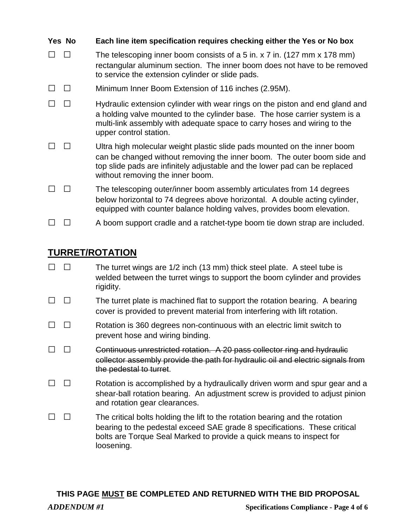| Yes No | Each line item specification requires checking either the Yes or No box                                                                                                                                                                                               |
|--------|-----------------------------------------------------------------------------------------------------------------------------------------------------------------------------------------------------------------------------------------------------------------------|
|        | The telescoping inner boom consists of a 5 in. x 7 in. (127 mm x 178 mm)<br>rectangular aluminum section. The inner boom does not have to be removed<br>to service the extension cylinder or slide pads.                                                              |
|        | Minimum Inner Boom Extension of 116 inches (2.95M).                                                                                                                                                                                                                   |
|        | Hydraulic extension cylinder with wear rings on the piston and end gland and<br>a holding valve mounted to the cylinder base. The hose carrier system is a<br>multi-link assembly with adequate space to carry hoses and wiring to the<br>upper control station.      |
|        | Ultra high molecular weight plastic slide pads mounted on the inner boom<br>can be changed without removing the inner boom. The outer boom side and<br>top slide pads are infinitely adjustable and the lower pad can be replaced<br>without removing the inner boom. |
|        | The telescoping outer/inner boom assembly articulates from 14 degrees<br>below horizontal to 74 degrees above horizontal. A double acting cylinder,<br>equipped with counter balance holding valves, provides boom elevation.                                         |
|        | A boom support cradle and a ratchet-type boom tie down strap are included.                                                                                                                                                                                            |

#### **TURRET/ROTATION**

- $\Box$   $\Box$  The turret wings are 1/2 inch (13 mm) thick steel plate. A steel tube is welded between the turret wings to support the boom cylinder and provides rigidity.
- $\Box$   $\Box$  The turret plate is machined flat to support the rotation bearing. A bearing cover is provided to prevent material from interfering with lift rotation.
- $\Box$   $\Box$  Rotation is 360 degrees non-continuous with an electric limit switch to prevent hose and wiring binding.
- $\Box$   $\Box$  Continuous unrestricted rotation. A 20 pass collector ring and hydraulic collector assembly provide the path for hydraulic oil and electric signals from the pedestal to turret.
- $\Box$   $\Box$  Rotation is accomplished by a hydraulically driven worm and spur gear and a shear-ball rotation bearing. An adjustment screw is provided to adjust pinion and rotation gear clearances.
- $\Box$   $\Box$  The critical bolts holding the lift to the rotation bearing and the rotation bearing to the pedestal exceed SAE grade 8 specifications. These critical bolts are Torque Seal Marked to provide a quick means to inspect for loosening.

#### **THIS PAGE MUST BE COMPLETED AND RETURNED WITH THE BID PROPOSAL**